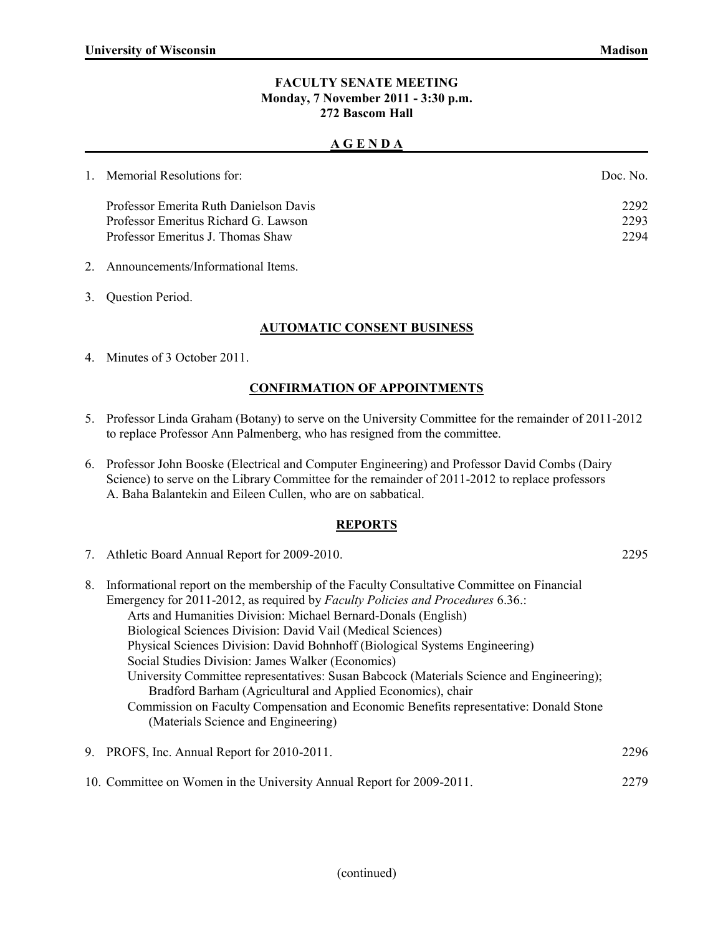#### **FACULTY SENATE MEETING Monday, 7 November 2011 - 3:30 p.m. 272 Bascom Hall**

#### **A G E N D A**

| 1. Memorial Resolutions for:           | Doc No |
|----------------------------------------|--------|
| Professor Emerita Ruth Danielson Davis | 2292   |
| Professor Emeritus Richard G. Lawson   | 2293   |
| Professor Emeritus J. Thomas Shaw      | 2294   |
|                                        |        |

- 2. Announcements/Informational Items.
- 3. Question Period.

## **AUTOMATIC CONSENT BUSINESS**

4. Minutes of 3 October 2011.

## **CONFIRMATION OF APPOINTMENTS**

- 5. Professor Linda Graham (Botany) to serve on the University Committee for the remainder of 2011-2012 to replace Professor Ann Palmenberg, who has resigned from the committee.
- 6. Professor John Booske (Electrical and Computer Engineering) and Professor David Combs (Dairy Science) to serve on the Library Committee for the remainder of 2011-2012 to replace professors A. Baha Balantekin and Eileen Cullen, who are on sabbatical.

#### **REPORTS**

7. Athletic Board Annual Report for 2009-2010. 2295

| 8. | Informational report on the membership of the Faculty Consultative Committee on Financial |  |
|----|-------------------------------------------------------------------------------------------|--|
|    | Emergency for 2011-2012, as required by Faculty Policies and Procedures 6.36.:            |  |
|    | Arts and Humanities Division: Michael Bernard-Donals (English)                            |  |
|    | Biological Sciences Division: David Vail (Medical Sciences)                               |  |
|    | Physical Sciences Division: David Bohnhoff (Biological Systems Engineering)               |  |
|    | Social Studies Division: James Walker (Economics)                                         |  |
|    | University Committee representatives: Susan Babcock (Materials Science and Engineering);  |  |
|    | Bradford Barham (Agricultural and Applied Economics), chair                               |  |
|    | Commission on Faculty Compensation and Economic Benefits representative: Donald Stone     |  |
|    | (Materials Science and Engineering)                                                       |  |
|    |                                                                                           |  |

9. PROFS, Inc. Annual Report for 2010-2011. 2296 10. Committee on Women in the University Annual Report for 2009-2011. 2279